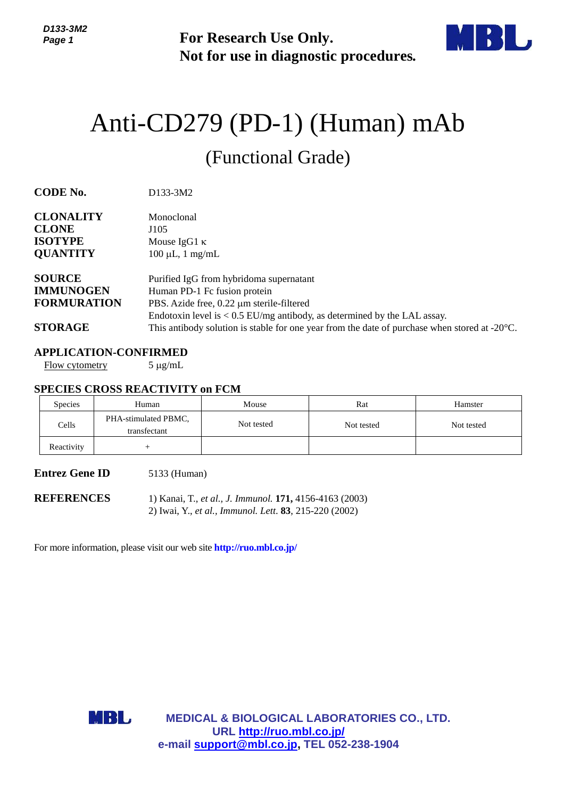**For Research Use Only. Not for use in diagnostic procedures.**



# Anti-CD279 (PD-1) (Human) mAb (Functional Grade)

**CODE No.** D133-3M2

| <b>CLONALITY</b><br><b>CLONE</b><br><b>ISOTYPE</b><br><b>QUANTITY</b> | Monoclonal<br>J105<br>Mouse IgG1 $\kappa$<br>$100 \mu L$ , 1 mg/mL                                      |
|-----------------------------------------------------------------------|---------------------------------------------------------------------------------------------------------|
| <b>SOURCE</b>                                                         | Purified IgG from hybridoma supernatant                                                                 |
| <b>IMMUNOGEN</b>                                                      | Human PD-1 Fc fusion protein                                                                            |
| <b>FORMURATION</b>                                                    | PBS. Azide free, 0.22 µm sterile-filtered                                                               |
|                                                                       | Endotoxin level is $< 0.5$ EU/mg antibody, as determined by the LAL assay.                              |
| <b>STORAGE</b>                                                        | This antibody solution is stable for one year from the date of purchase when stored at $-20^{\circ}$ C. |

### **APPLICATION-CONFIRMED**

Flow cytometry  $5 \mu g/mL$ 

#### **SPECIES CROSS REACTIVITY on FCM**

| Species    | Human                                | Mouse      | Rat        | Hamster    |
|------------|--------------------------------------|------------|------------|------------|
| Cells      | PHA-stimulated PBMC,<br>transfectant | Not tested | Not tested | Not tested |
| Reactivity |                                      |            |            |            |

#### **Entrez Gene ID** 5133 (Human)

**REFERENCES** 1) Kanai, T., *et al., J. Immunol.* **171,** 4156-4163 (2003) 2) Iwai, Y., *et al., Immunol. Lett*. **83**, 215-220 (2002)

For more information, please visit our web site **http://ruo.mbl.co.jp/**



**MEDICAL & BIOLOGICAL LABORATORIES CO., LTD. URL <http://ruo.mbl.co.jp/> e-mail [support@mbl.co.jp,](mailto:support@mbl.co.jp) TEL 052-238-1904**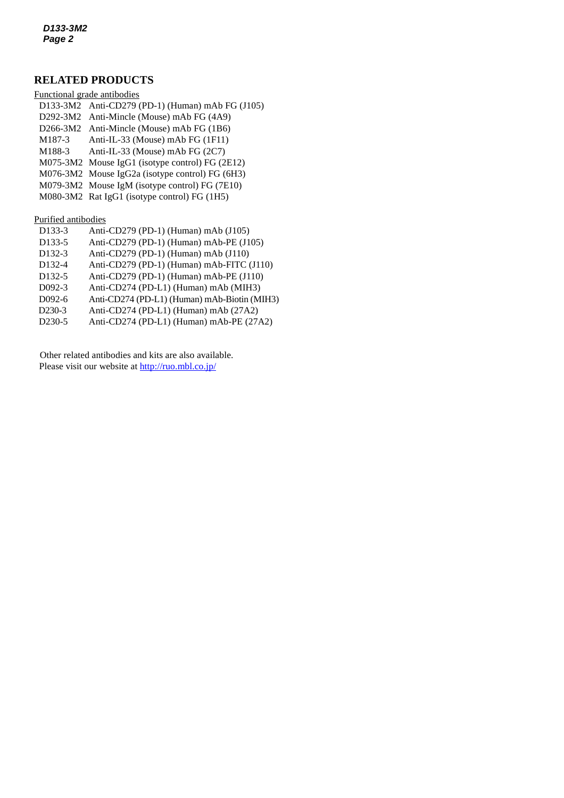## **RELATED PRODUCTS**

| Functional grade antibodies |                                                  |  |  |
|-----------------------------|--------------------------------------------------|--|--|
|                             | D133-3M2 Anti-CD279 (PD-1) (Human) mAb FG (J105) |  |  |
|                             | D292-3M2 Anti-Mincle (Mouse) mAb FG (4A9)        |  |  |
|                             | D266-3M2 Anti-Mincle (Mouse) mAb FG (1B6)        |  |  |
| M187-3                      | Anti-IL-33 (Mouse) mAb FG (1F11)                 |  |  |
| M188-3                      | Anti-IL-33 (Mouse) mAb FG (2C7)                  |  |  |
|                             | M075-3M2 Mouse IgG1 (isotype control) FG (2E12)  |  |  |
|                             | M076-3M2 Mouse IgG2a (isotype control) FG (6H3)  |  |  |
|                             | M079-3M2 Mouse IgM (isotype control) FG (7E10)   |  |  |
|                             | M080-3M2 Rat IgG1 (isotype control) FG (1H5)     |  |  |
|                             |                                                  |  |  |

Purified antibodies

| D <sub>133</sub> -3 | Anti-CD279 (PD-1) (Human) mAb $(J105)$       |
|---------------------|----------------------------------------------|
| D <sub>133</sub> -5 | Anti-CD279 (PD-1) (Human) mAb-PE (J105)      |
| D <sub>132</sub> -3 | Anti-CD279 (PD-1) (Human) mAb (J110)         |
| D <sub>132</sub> -4 | Anti-CD279 (PD-1) (Human) mAb-FITC (J110)    |
| D <sub>132</sub> -5 | Anti-CD279 (PD-1) (Human) mAb-PE (J110)      |
| $D(92-3)$           | Anti-CD274 (PD-L1) (Human) mAb (MIH3)        |
| $D092-6$            | Anti-CD274 (PD-L1) (Human) mAb-Biotin (MIH3) |
| DO 20               |                                              |

- D230-3 Anti-CD274 (PD-L1) (Human) mAb (27A2)
- D230-5 Anti-CD274 (PD-L1) (Human) mAb-PE (27A2)

Other related antibodies and kits are also available. Please visit our website at <http://ruo.mbl.co.jp/>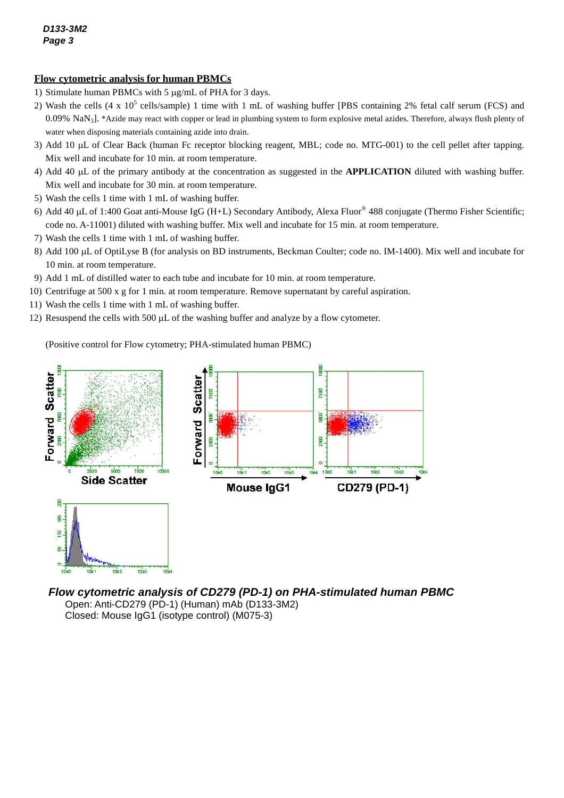## **Flow cytometric analysis for human PBMCs**

- 1) Stimulate human PBMCs with 5  $\mu$ g/mL of PHA for 3 days.
- 2) Wash the cells  $(4 \times 10^5 \text{ cells/sample})$  1 time with 1 mL of washing buffer [PBS containing 2% fetal calf serum (FCS) and 0.09% NaN<sub>3</sub>]. \*Azide may react with copper or lead in plumbing system to form explosive metal azides. Therefore, always flush plenty of water when disposing materials containing azide into drain.
- 3) Add 10 µL of Clear Back (human Fc receptor blocking reagent, MBL; code no. MTG-001) to the cell pellet after tapping. Mix well and incubate for 10 min. at room temperature.
- 4) Add 40 L of the primary antibody at the concentration as suggested in the **APPLICATION** diluted with washing buffer. Mix well and incubate for 30 min. at room temperature.
- 5) Wash the cells 1 time with 1 mL of washing buffer.
- 6) Add 40 µL of 1:400 Goat anti-Mouse IgG (H+L) Secondary Antibody, Alexa Fluor® 488 conjugate (Thermo Fisher Scientific; code no. A-11001) diluted with washing buffer. Mix well and incubate for 15 min. at room temperature.
- 7) Wash the cells 1 time with 1 mL of washing buffer.
- 8) Add 100 µL of OptiLyse B (for analysis on BD instruments, Beckman Coulter; code no. IM-1400). Mix well and incubate for 10 min. at room temperature.
- 9) Add 1 mL of distilled water to each tube and incubate for 10 min. at room temperature.
- 10) Centrifuge at 500 x g for 1 min. at room temperature. Remove supernatant by careful aspiration.
- 11) Wash the cells 1 time with 1 mL of washing buffer.
- 12) Resuspend the cells with 500  $\mu$  of the washing buffer and analyze by a flow cytometer.

(Positive control for Flow cytometry; PHA-stimulated human PBMC)



*Flow cytometric analysis of CD279 (PD-1) on PHA-stimulated human PBMC* Open: Anti-CD279 (PD-1) (Human) mAb (D133-3M2) Closed: Mouse IgG1 (isotype control) (M075-3)